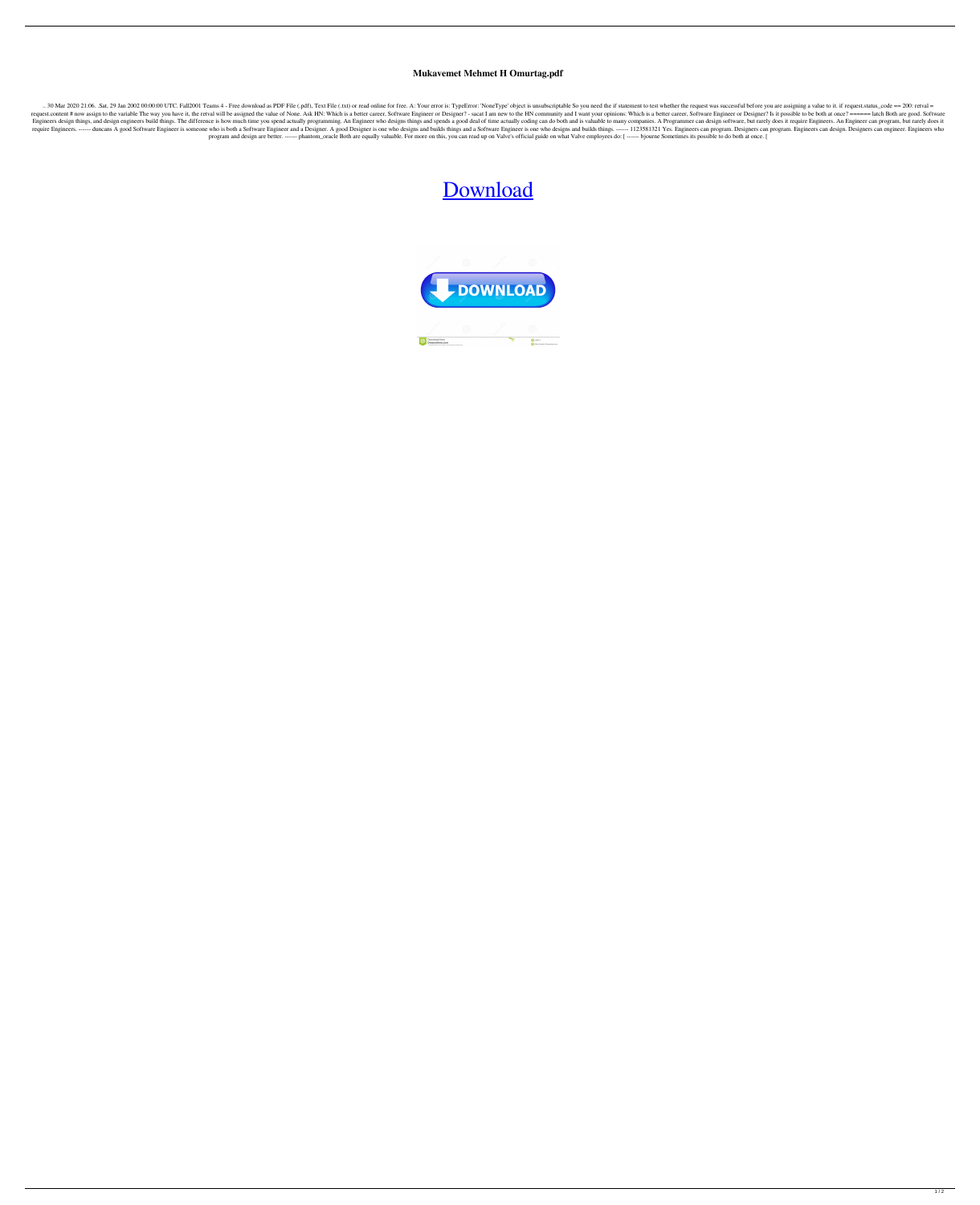## **Mukavemet Mehmet H Omurtag.pdf**

.. 30 Mar 2020 21:06. Sat, 29 Jan 2002 00:00:00 UTC. Fall2001 Teams 4 - Free download as PDF File (.pdf), Text File (.txt) or read online for free. A: Your error is: TypeError: 'NoneType' object is unsubscriptable So you n request.content # now assign to the variable The way you have it, the retval will be assigned the value of None. Ask HN: Which is a better career, Software Engineer or Designer? - sacat I am new to the HN community and I w Engineers design things, and design engineers build things. The difference is how much time you spend actually programming. An Engineer who designs things and spends a good deal of time actually coding can do both and is v require Engineers. ------ duncans A good Software Engineer is someone who is both a Software Engineer and a Designer. A good Designer is one who designs and builds things and a Software Engineer is one who designs and buil program and design are better. ------ phantom\_oracle Both are equally valuable. For more on this, you can read up on Valve's official guide on what Valve employees do: [ ----- bjourne Sometimes its possible to do both at o

## [Download](https://geags.com/2l1dgj)